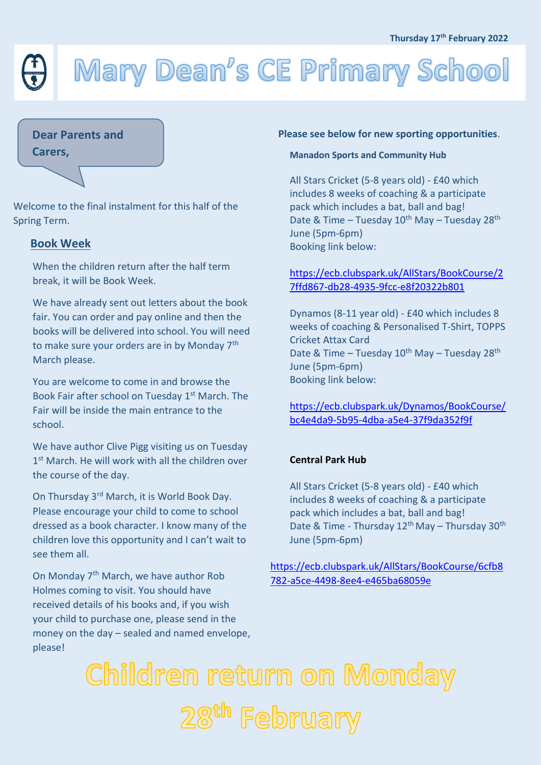# Mary Dean's CE Primary School

## **Dear Parents and**

**Carers,**

Welcome to the final instalment for this half of the Spring Term.

## **Book Week**

When the children return after the half term break, it will be Book Week.

We have already sent out letters about the book fair. You can order and pay online and then the books will be delivered into school. You will need to make sure your orders are in by Monday 7<sup>th</sup> March please.

You are welcome to come in and browse the Book Fair after school on Tuesday 1st March. The Fair will be inside the main entrance to the school.

We have author Clive Pigg visiting us on Tuesday 1<sup>st</sup> March. He will work with all the children over the course of the day.

On Thursday 3rd March, it is World Book Day. Please encourage your child to come to school dressed as a book character. I know many of the children love this opportunity and I can't wait to see them all.

On Monday 7<sup>th</sup> March, we have author Rob Holmes coming to visit. You should have received details of his books and, if you wish your child to purchase one, please send in the money on the day – sealed and named envelope, please!

#### **Please see below for new sporting opportunities**.

#### **Manadon Sports and Community Hub**

All Stars Cricket (5-8 years old) - £40 which includes 8 weeks of coaching & a participate pack which includes a bat, ball and bag! Date & Time – Tuesday  $10^{th}$  May – Tuesday 28<sup>th</sup> June (5pm-6pm) Booking link below:

# [https://ecb.clubspark.uk/AllStars/BookCourse/2](https://ecb.clubspark.uk/AllStars/BookCourse/27ffd867-db28-4935-9fcc-e8f20322b801) [7ffd867-db28-4935-9fcc-e8f20322b801](https://ecb.clubspark.uk/AllStars/BookCourse/27ffd867-db28-4935-9fcc-e8f20322b801)

Dynamos (8-11 year old) - £40 which includes 8 weeks of coaching & Personalised T-Shirt, TOPPS Cricket Attax Card Date & Time – Tuesday 10<sup>th</sup> May – Tuesday 28<sup>th</sup> June (5pm-6pm) Booking link below:

[https://ecb.clubspark.uk/Dynamos/BookCourse/](https://ecb.clubspark.uk/Dynamos/BookCourse/bc4e4da9-5b95-4dba-a5e4-37f9da352f9f) [bc4e4da9-5b95-4dba-a5e4-37f9da352f9f](https://ecb.clubspark.uk/Dynamos/BookCourse/bc4e4da9-5b95-4dba-a5e4-37f9da352f9f)

#### **Central Park Hub**

All Stars Cricket (5-8 years old) - £40 which includes 8 weeks of coaching & a participate pack which includes a bat, ball and bag! Date & Time - Thursday  $12^{th}$  May – Thursday  $30^{th}$ June (5pm-6pm)

[https://ecb.clubspark.uk/AllStars/BookCourse/6cfb8](https://ecb.clubspark.uk/AllStars/BookCourse/6cfb8782-a5ce-4498-8ee4-e465ba68059e) [782-a5ce-4498-8ee4-e465ba68059e](https://ecb.clubspark.uk/AllStars/BookCourse/6cfb8782-a5ce-4498-8ee4-e465ba68059e)

Children return on Monday 28<sup>th</sup> February